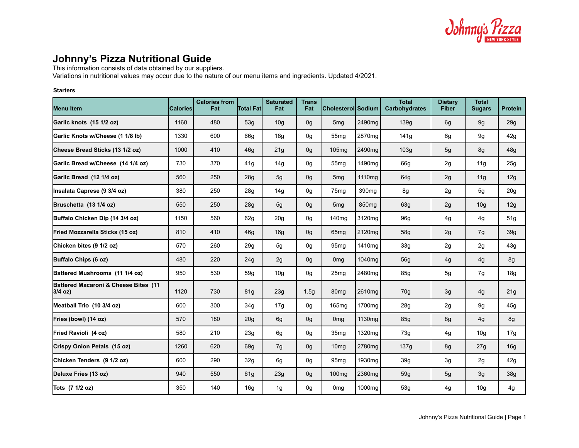

# **Johnny's Pizza Nutritional Guide**

This information consists of data obtained by our suppliers.

Variations in nutritional values may occur due to the nature of our menu items and ingredients. Updated 4/2021.

#### **Starters**

| <b>Menu Item</b>                                | <b>Calories</b> | <b>Calories from</b><br>Fat | <b>Total Fatl</b> | <b>Saturated</b><br>Fat | <b>Trans</b><br>Fat | Cholesterol Sodium |                    | <b>Total</b><br><b>Carbohydrates</b> | <b>Dietary</b><br><b>Fiber</b> | <b>Total</b><br><b>Sugars</b> | <b>Protein</b>  |
|-------------------------------------------------|-----------------|-----------------------------|-------------------|-------------------------|---------------------|--------------------|--------------------|--------------------------------------|--------------------------------|-------------------------------|-----------------|
| Garlic knots (15 1/2 oz)                        | 1160            | 480                         | 53g               | 10 <sub>g</sub>         | 0 <sub>q</sub>      | 5 <sub>mg</sub>    | 2490mg             | 139g                                 | 6g                             | 9 <sub>g</sub>                | 29g             |
| Garlic Knots w/Cheese (1 1/8 lb)                | 1330            | 600                         | 66q               | 18g                     | 0g                  | 55 <sub>mq</sub>   | 2870mg             | 141g                                 | 6g                             | 9g                            | 42g             |
| Cheese Bread Sticks (13 1/2 oz)                 | 1000            | 410                         | 46q               | 21g                     | 0g                  | 105 <sub>mg</sub>  | 2490mg             | 103g                                 | 5 <sub>g</sub>                 | 8g                            | 48g             |
| Garlic Bread w/Cheese (14 1/4 oz)               | 730             | 370                         | 41g               | 14g                     | 0g                  | 55 <sub>mq</sub>   | 1490mg             | 66g                                  | 2g                             | 11g                           | 25g             |
| Garlic Bread (12 1/4 oz)                        | 560             | 250                         | 28g               | 5g                      | 0g                  | 5 <sub>mg</sub>    | 1110mg             | 64g                                  | 2g                             | 11g                           | 12g             |
| Insalata Caprese (9 3/4 oz)                     | 380             | 250                         | 28g               | 14g                     | 0g                  | 75 <sub>mq</sub>   | 390 <sub>mq</sub>  | 8g                                   | 2g                             | 5g                            | 20 <sub>g</sub> |
| Bruschetta (13 1/4 oz)                          | 550             | 250                         | 28g               | 5 <sub>g</sub>          | 0g                  | 5 <sub>mg</sub>    | 850 <sub>mg</sub>  | 63g                                  | 2g                             | 10 <sub>g</sub>               | 12g             |
| Buffalo Chicken Dip (14 3/4 oz)                 | 1150            | 560                         | 62g               | 20 <sub>g</sub>         | 0g                  | 140 <sub>mg</sub>  | 3120mg             | 96g                                  | 4g                             | 4g                            | 51g             |
| Fried Mozzarella Sticks (15 oz)                 | 810             | 410                         | 46q               | 16g                     | 0g                  | 65 <sub>mq</sub>   | 2120mg             | 58g                                  | 2g                             | 7g                            | 39 <sub>g</sub> |
| Chicken bites (9 1/2 oz)                        | 570             | 260                         | 29g               | 5g                      | 0g                  | 95 <sub>mq</sub>   | 1410mg             | 33g                                  | 2g                             | 2g                            | 43g             |
| Buffalo Chips (6 oz)                            | 480             | 220                         | 24g               | 2g                      | 0g                  | 0 <sub>mq</sub>    | 1040mg             | <b>56g</b>                           | 4g                             | 4g                            | 8g              |
| Battered Mushrooms (11 1/4 oz)                  | 950             | 530                         | 59g               | 10 <sub>g</sub>         | 0g                  | 25 <sub>mg</sub>   | 2480mg             | 85g                                  | 5g                             | 7g                            | 18g             |
| Battered Macaroni & Cheese Bites (11<br>3/4 oz) | 1120            | 730                         | 81 <sub>g</sub>   | 23g                     | 1.5 <sub>g</sub>    | 80 <sub>mq</sub>   | 2610mg             | 70g                                  | 3g                             | 4g                            | 21g             |
| Meatball Trio (10 3/4 oz)                       | 600             | 300                         | 34g               | 17g                     | 0g                  | 165 <sub>mg</sub>  | 1700mg             | 28g                                  | 2g                             | 9g                            | 45g             |
| Fries (bowl) (14 oz)                            | 570             | 180                         | 20 <sub>g</sub>   | 6g                      | 0g                  | 0 <sub>mg</sub>    | 1130 <sub>mq</sub> | 85g                                  | 8g                             | 4g                            | 8g              |
| Fried Ravioli (4 oz)                            | 580             | 210                         | 23g               | 6g                      | 0g                  | 35 <sub>mg</sub>   | 1320mg             | 73g                                  | 4g                             | 10 <sub>g</sub>               | 17g             |
| Crispy Onion Petals (15 oz)                     | 1260            | 620                         | 69q               | 7g                      | 0 <sub>q</sub>      | 10 <sub>mq</sub>   | 2780mg             | 137g                                 | 8g                             | 27g                           | 16g             |
| Chicken Tenders (9 1/2 oz)                      | 600             | 290                         | 32g               | 6g                      | 0g                  | 95 <sub>mq</sub>   | 1930 <sub>mq</sub> | 39g                                  | 3g                             | 2g                            | 42g             |
| Deluxe Fries (13 oz)                            | 940             | 550                         | 61g               | 23g                     | 0g                  | 100 <sub>mg</sub>  | 2360mg             | 59g                                  | 5 <sub>g</sub>                 | 3g                            | 38g             |
| Tots (7 1/2 oz)                                 | 350             | 140                         | 16 <sub>g</sub>   | 1g                      | 0g                  | 0 <sub>mg</sub>    | 1000mg             | 53g                                  | 4g                             | 10 <sub>g</sub>               | 4g              |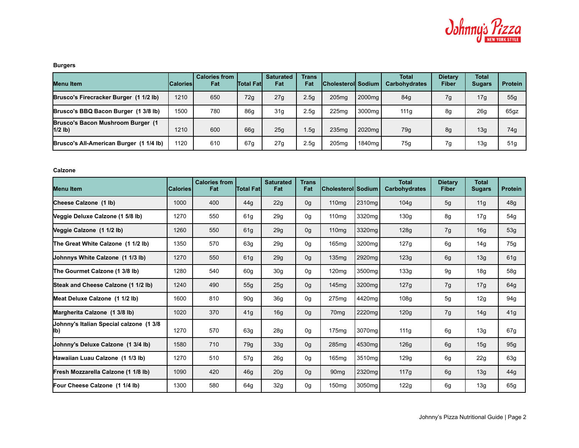

## **Burgers**

| Menu Item                                      | <b>Calories</b> | <b>Calories from</b><br>Fat | <b>Total Fatl</b> | <b>Saturated</b><br>Fat | <b>Trans</b><br>Fat | <b>Cholesteroll Sodium L</b> |                    | <b>Total</b><br><b>Carbohydrates</b> | <b>Dietary</b><br>Fiber | <b>Total</b><br><b>Sugars</b> | <b>Protein</b>  |
|------------------------------------------------|-----------------|-----------------------------|-------------------|-------------------------|---------------------|------------------------------|--------------------|--------------------------------------|-------------------------|-------------------------------|-----------------|
| Brusco's Firecracker Burger (1 1/2 lb)         | 1210            | 650                         | 72g               | 27g                     | 2.5 <sub>g</sub>    | 205mg                        | 2000 <sub>mg</sub> | 84g                                  | 7g                      | 17g                           | 55 <sub>q</sub> |
| Brusco's BBQ Bacon Burger (1 3/8 lb)           | 1500            | 780                         | 86 <sub>g</sub>   | 31 <sub>q</sub>         | 2.5 <sub>g</sub>    | 225 <sub>ma</sub>            | 3000ma             | 111a                                 | 8g                      | 26g                           | 65gz            |
| Brusco's Bacon Mushroom Burger (1<br>$1/2$ lb) | 1210            | 600                         | 66g               | 25 <sub>q</sub>         | 1.5q                | 235 <sub>mq</sub>            | 2020 <sub>mg</sub> | 79q                                  | 8g                      | 13g                           | 74g             |
| Brusco's All-American Burger (1 1/4 lb)        | 1120            | 610                         | 67g               | 27 <sub>g</sub>         | 2.5 <sub>g</sub>    | 205 <sub>mq</sub>            | 1840ma l           | 75g                                  | 7g                      | 13g                           | 51 <sub>q</sub> |

**Calzone**

| Menu Item                                      | <b>Calories</b> | <b>Calories from</b><br>Fat | <b>Total Fatl</b> | <b>Saturated</b><br>Fat | <b>Trans</b><br>Fat | Cholesterol  Sodium |        | <b>Total</b><br><b>Carbohydrates</b> | <b>Dietary</b><br><b>Fiber</b> | <b>Total</b><br><b>Sugars</b> | <b>Protein</b> |
|------------------------------------------------|-----------------|-----------------------------|-------------------|-------------------------|---------------------|---------------------|--------|--------------------------------------|--------------------------------|-------------------------------|----------------|
| Cheese Calzone (1 lb)                          | 1000            | 400                         | 44g               | 22g                     | 0 <sub>g</sub>      | 110 <sub>mg</sub>   | 2310mg | 104g                                 | 5 <sub>q</sub>                 | 11g                           | 48g            |
| Veggie Deluxe Calzone (1 5/8 lb)               | 1270            | 550                         | 61 <sub>g</sub>   | 29g                     | 0g                  | 110 <sub>mg</sub>   | 3320mg | 130g                                 | 8g                             | 17g                           | 54g            |
| Veggie Calzone (1 1/2 lb)                      | 1260            | 550                         | 61 <sub>g</sub>   | 29g                     | 0 <sub>g</sub>      | 110 <sub>mq</sub>   | 3320mg | 128g                                 | 7g                             | 16g                           | 53g            |
| The Great White Calzone (1 1/2 lb)             | 1350            | 570                         | 63g               | 29g                     | 0g                  | 165 <sub>mq</sub>   | 3200mg | 127g                                 | 6g                             | 14g                           | 75g            |
| Johnnys White Calzone (1 1/3 lb)               | 1270            | 550                         | 61 <sub>g</sub>   | 29g                     | 0g                  | 135mg               | 2920mg | 123g                                 | 6g                             | 13g                           | 61g            |
| The Gourmet Calzone (1 3/8 lb)                 | 1280            | 540                         | 60 <sub>g</sub>   | 30 <sub>g</sub>         | 0g                  | 120 <sub>mq</sub>   | 3500mg | 133g                                 | 9g                             | 18g                           | 58g            |
| Steak and Cheese Calzone (1 1/2 lb)            | 1240            | 490                         | 55g               | 25g                     | 0 <sub>g</sub>      | 145 <sub>mq</sub>   | 3200mg | 127g                                 | 7g                             | 17g                           | 64g            |
| Meat Deluxe Calzone (1 1/2 lb)                 | 1600            | 810                         | 90 <sub>g</sub>   | 36g                     | 0g                  | 275 <sub>mq</sub>   | 4420mg | 108 <sub>g</sub>                     | 5g                             | 12g                           | 94g            |
| Margherita Calzone (1 3/8 lb)                  | 1020            | 370                         | 41g               | 16g                     | 0 <sub>g</sub>      | 70 <sub>mg</sub>    | 2220mg | 120g                                 | 7g                             | 14g                           | 41g            |
| Johnny's Italian Special calzone (1 3/8<br>lb) | 1270            | 570                         | 63g               | 28g                     | 0g                  | 175mg               | 3070mg | 111g                                 | 6g                             | 13g                           | 67g            |
| Johnny's Deluxe Calzone (1 3/4 lb)             | 1580            | 710                         | 79g               | 33g                     | 0 <sub>g</sub>      | 285 <sub>mq</sub>   | 4530mg | 126g                                 | 6g                             | 15g                           | 95g            |
| Hawaiian Luau Calzone (1 1/3 lb)               | 1270            | 510                         | 57g               | 26g                     | 0g                  | 165mg               | 3510mg | 129g                                 | 6g                             | 22g                           | 63g            |
| Fresh Mozzarella Calzone (1 1/8 lb)            | 1090            | 420                         | 46q               | 20g                     | 0 <sub>g</sub>      | 90 <sub>mq</sub>    | 2320mg | 117g                                 | 6g                             | 13g                           | 44g            |
| Four Cheese Calzone (1 1/4 lb)                 | 1300            | 580                         | 64q               | 32g                     | 0g                  | 150 <sub>mg</sub>   | 3050mg | 122g                                 | 6g                             | 13g                           | 65g            |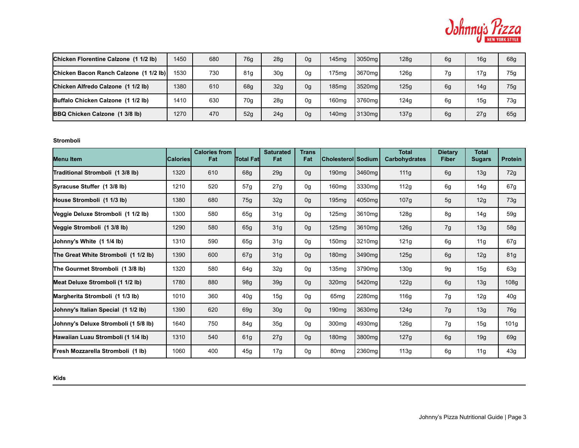

| Chicken Florentine Calzone (1 1/2 lb)  | 1450 | 680 | 76g             | 28g             | 0g | 145 <sub>mq</sub> | 3050 <sub>mg</sub> | 128g | 6g | 16g | 68g |
|----------------------------------------|------|-----|-----------------|-----------------|----|-------------------|--------------------|------|----|-----|-----|
| Chicken Bacon Ranch Calzone (1 1/2 lb) | 1530 | 730 | 81g             | 30 <sub>q</sub> | 0g | 175 <sub>mg</sub> | 3670mg             | 126g | 7g | 17g | 75g |
| Chicken Alfredo Calzone (1 1/2 lb)     | 1380 | 610 | 68g             | 32 <sub>g</sub> | 0g | 185 <sub>mq</sub> | 3520mg             | 125g | 6g | 14g | 75g |
| Buffalo Chicken Calzone (1 1/2 lb)     | 1410 | 630 | 70 <sub>q</sub> | 28g             | 0g | 160 <sub>mg</sub> | 3760mg             | 124g | 6g | 15g | 73g |
| BBQ Chicken Calzone (1 3/8 lb)         | 1270 | 470 | 52g             | 24g             | 0g | 140 <sub>mq</sub> | 3130 <sub>ma</sub> | 137g | 6g | 27g | 65g |

**Stromboli**

| <b>Menu Item</b>                     | Calories | <b>Calories from</b><br>Fat | <b>Total Fatl</b> | <b>Saturated</b><br>Fat | <b>Trans</b><br>Fat | Cholesterol  Sodium |        | <b>Total</b><br>Carbohydrates | <b>Dietary</b><br><b>Fiber</b> | <b>Total</b><br><b>Sugars</b> | <b>Protein</b>   |
|--------------------------------------|----------|-----------------------------|-------------------|-------------------------|---------------------|---------------------|--------|-------------------------------|--------------------------------|-------------------------------|------------------|
| Traditional Stromboli (1 3/8 lb)     | 1320     | 610                         | 68g               | 29g                     | 0 <sub>g</sub>      | 190 <sub>mg</sub>   | 3460mg | 111g                          | 6g                             | 13g                           | 72g              |
| Syracuse Stuffer (1 3/8 lb)          | 1210     | 520                         | 57g               | 27g                     | 0g                  | 160 <sub>mq</sub>   | 3330mg | 112g                          | 6g                             | 14g                           | 67g              |
| House Stromboli (1 1/3 lb)           | 1380     | 680                         | 75g               | 32g                     | 0 <sub>g</sub>      | 195mg               | 4050mg | 107g                          | 5g                             | 12g                           | 73g              |
| Veggie Deluxe Stromboli (1 1/2 lb)   | 1300     | 580                         | 65g               | 31g                     | 0g                  | 125mg               | 3610mg | 128g                          | 8g                             | 14g                           | 59g              |
| Veggie Stromboli (1 3/8 lb)          | 1290     | 580                         | 65g               | 31g                     | 0 <sub>g</sub>      | 125 <sub>mq</sub>   | 3610mg | 126g                          | 7g                             | 13g                           | 58g              |
| Uohnny's White (1 1/4 lb)            | 1310     | 590                         | 65g               | 31g                     | 0g                  | 150mg               | 3210mg | 121g                          | 6g                             | 11g                           | 67g              |
| The Great White Stromboli (1 1/2 lb) | 1390     | 600                         | 67g               | 31g                     | 0 <sub>g</sub>      | 180 <sub>mg</sub>   | 3490mg | 125g                          | 6g                             | 12g                           | 81g              |
| The Gourmet Stromboli (1 3/8 lb)     | 1320     | 580                         | 64g               | 32g                     | 0g                  | 135mg               | 3790mg | 130g                          | 9g                             | 15g                           | 63g              |
| Meat Deluxe Stromboli (1 1/2 lb)     | 1780     | 880                         | 98g               | 39 <sub>g</sub>         | 0 <sub>g</sub>      | 320 <sub>mq</sub>   | 5420mg | 122g                          | 6g                             | 13g                           | 108 <sub>g</sub> |
| Margherita Stromboli (1 1/3 lb)      | 1010     | 360                         | 40 <sub>g</sub>   | 15g                     | 0g                  | 65mg                | 2280mg | 116g                          | 7g                             | 12g                           | 40g              |
| Johnny's Italian Special (1 1/2 lb)  | 1390     | 620                         | 69g               | 30 <sub>g</sub>         | 0 <sub>g</sub>      | 190 <sub>mq</sub>   | 3630mg | 124g                          | 7g                             | 13g                           | 76g              |
| Johnny's Deluxe Stromboli (1 5/8 lb) | 1640     | 750                         | 84g               | 35 <sub>g</sub>         | 0g                  | 300 <sub>mq</sub>   | 4930mg | 126g                          | 7g                             | 15g                           | 101g             |
| Hawaiian Luau Stromboli (1 1/4 lb)   | 1310     | 540                         | 61g               | 27g                     | 0 <sub>g</sub>      | 180 <sub>mg</sub>   | 3800mg | 127g                          | 6g                             | 19g                           | 69g              |
| Fresh Mozzarella Stromboli (1 lb)    | 1060     | 400                         | 45q               | 17g                     | 0g                  | 80 <sub>mq</sub>    | 2360mg | 113g                          | 6g                             | 11g                           | 43g              |

**Kids**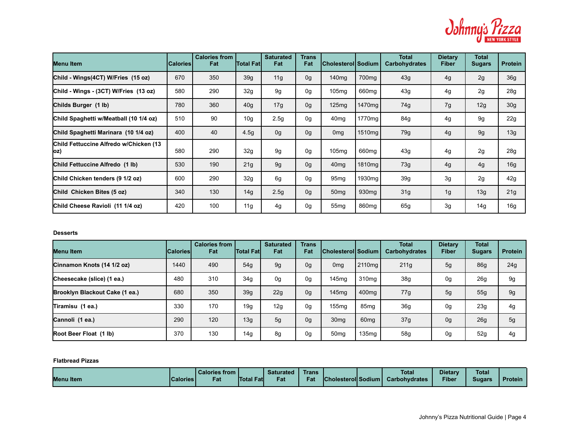

| Menu Item                                      | <b>Calories</b> | <b>Calories from</b><br>Fat | <b>Total Fat</b> | <b>Saturated</b><br>Fat | <b>Trans</b><br>Fat | <b>ICholesteroIISodium</b> |                    | <b>Total</b><br>Carbohydrates | <b>Dietary</b><br><b>Fiber</b> | <b>Total</b><br><b>Sugars</b> | <b>Protein</b>  |
|------------------------------------------------|-----------------|-----------------------------|------------------|-------------------------|---------------------|----------------------------|--------------------|-------------------------------|--------------------------------|-------------------------------|-----------------|
| Child - Wings(4CT) W/Fries (15 oz)             | 670             | 350                         | 39g              | 11g                     | 0g                  | 140 <sub>mg</sub>          | 700 <sub>mq</sub>  | 43g                           | 4g                             | 2g                            | 36g             |
| Child - Wings - (3CT) W/Fries (13 oz)          | 580             | 290                         | 32g              | 9g                      | 0g                  | 105mg                      | 660 <sub>mg</sub>  | 43g                           | 4g                             | 2g                            | 28g             |
| Childs Burger (1 lb)                           | 780             | 360                         | 40 <sub>g</sub>  | 17g                     | 0 <sub>g</sub>      | 125mg                      | 1470 <sub>mg</sub> | 74g                           | 7g                             | 12g                           | 30 <sub>g</sub> |
| Child Spaghetti w/Meatball (10 1/4 oz)         | 510             | 90                          | 10 <sub>q</sub>  | 2.5g                    | 0g                  | 40 <sub>mg</sub>           | 1770mg             | 84g                           | 4g                             | 9g                            | 22 <sub>g</sub> |
| Child Spaghetti Marinara (10 1/4 oz)           | 400             | 40                          | 4.5 <sub>g</sub> | 0g                      | 0g                  | 0 <sub>mg</sub>            | 1510mg             | 79g                           | 4g                             | 9g                            | 13g             |
| Child Fettuccine Alfredo w/Chicken (13)<br>(oz | 580             | 290                         | 32g              | 9 <sub>g</sub>          | 0g                  | 105mg                      | 660 <sub>mq</sub>  | 43g                           | 4g                             | 2g                            | 28 <sub>g</sub> |
| Child Fettuccine Alfredo (1 lb)                | 530             | 190                         | 21g              | 9g                      | 0g                  | 40 <sub>mg</sub>           | 1810mg             | 73g                           | 4g                             | 4g                            | 16g             |
| Child Chicken tenders (9 1/2 oz)               | 600             | 290                         | 32 <sub>g</sub>  | 6g                      | 0g                  | 95 <sub>mg</sub>           | 1930 <sub>mq</sub> | 39 <sub>g</sub>               | 3g                             | 2g                            | 42g             |
| Child Chicken Bites (5 oz)                     | 340             | 130                         | 14g              | 2.5g                    | 0g                  | 50 <sub>mg</sub>           | 930 <sub>mg</sub>  | 31g                           | 1g                             | 13g                           | 21g             |
| Child Cheese Ravioli (11 1/4 oz)               | 420             | 100                         | 11g              | 4g                      | 0g                  | 55 <sub>mg</sub>           | 860 <sub>mg</sub>  | 65g                           | 3g                             | 14g                           | 16g             |

#### **Desserts**

| Menu Item                      | lCaloriesl | <b>Calories from</b><br>Fat | <b>Total Fatl</b> | <b>Saturated</b><br>Fat | <b>Trans</b><br>Fat | <b>Cholesterol Sodium</b> |                    | <b>Total</b><br><b>Carbohydrates</b> | <b>Dietary</b><br><b>Fiber</b> | <b>Total</b><br><b>Sugars</b> | <b>Protein</b> |
|--------------------------------|------------|-----------------------------|-------------------|-------------------------|---------------------|---------------------------|--------------------|--------------------------------------|--------------------------------|-------------------------------|----------------|
| Cinnamon Knots (14 1/2 oz)     | 1440       | 490                         | 54q               | 9g                      | 0 <sub>g</sub>      | 0 <sub>mg</sub>           | 2110 <sub>mg</sub> | 211g                                 | 5g                             | <b>86g</b>                    | 24g            |
| Cheesecake (slice) (1 ea.)     | 480        | 310                         | 34 <sub>g</sub>   | 0g                      | 0g                  | 145 <sub>mq</sub>         | 310 <sub>ma</sub>  | 38g                                  | 0g                             | 26g                           | 9g             |
| Brooklyn Blackout Cake (1 ea.) | 680        | 350                         | 39 <sub>q</sub>   | 22g                     | 0g                  | 145 <sub>mq</sub>         | 400 <sub>mg</sub>  | 77g                                  | 5g                             | 55g                           | 9g             |
| Tiramisu (1 ea.)               | 330        | 170                         | 19q               | 12g                     | 0g                  | 155 <sub>mq</sub>         | 85 <sub>mq</sub>   | 36g                                  | 0g                             | 23g                           | 4g             |
| Cannoli (1 ea.)                | 290        | 120                         | 13q               | 5g                      | 0g                  | 30 <sub>mq</sub>          | 60 <sub>mq</sub>   | 37g                                  | 0 <sub>g</sub>                 | 26g                           | 5g             |
| Root Beer Float (1 lb)         | 370        | 130                         | 14g               | 8g                      | 0g                  | 50 <sub>mg</sub>          | 135 <sub>mq</sub>  | 58g                                  | 0g                             | 52g                           | 4g             |

### **Flatbread Pizzas**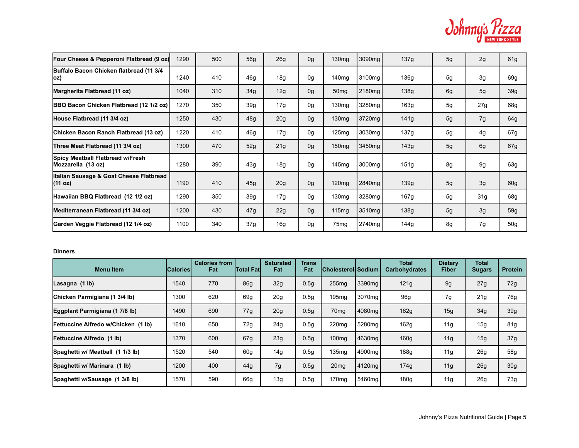

| Four Cheese & Pepperoni Flatbread (9 oz)               | 1290 | 500 | 56g | 26g             | 0 <sub>q</sub> | 130 <sub>mq</sub> | 3090mg             | 137g | 5 <sub>q</sub> | 2g  | 61 <sub>g</sub> |
|--------------------------------------------------------|------|-----|-----|-----------------|----------------|-------------------|--------------------|------|----------------|-----|-----------------|
| Buffalo Bacon Chicken flatbread (11 3/4<br>OZ)         | 1240 | 410 | 46g | 18g             | 0 <sub>q</sub> | 140 <sub>mg</sub> | 3100mg             | 136g | 5g             | 3g  | 69g             |
| Margherita Flatbread (11 oz)                           | 1040 | 310 | 34g | 12g             | 0 <sub>q</sub> | 50 <sub>mg</sub>  | 2180 <sub>mq</sub> | 138g | 6g             | 5g  | 39g             |
| <b>BBQ Bacon Chicken Flatbread (12 1/2 oz)</b>         | 1270 | 350 | 39g | 17g             | 0 <sub>q</sub> | 130 <sub>mg</sub> | 3280 <sub>mq</sub> | 163g | 5g             | 27g | 68g             |
| House Flatbread (11 3/4 oz)                            | 1250 | 430 | 48g | 20g             | 0 <sub>q</sub> | 130 <sub>mq</sub> | 3720mg             | 141g | 5g             | 7g  | 64g             |
| Chicken Bacon Ranch Flatbread (13 oz)                  | 1220 | 410 | 46g | 17g             | 0 <sub>q</sub> | 125mg             | 3030mg             | 137g | 5g             | 4g  | 67g             |
| Three Meat Flatbread (11 3/4 oz)                       | 1300 | 470 | 52g | 21g             | 0 <sub>q</sub> | 150 <sub>mg</sub> | 3450mg             | 143g | 5 <sub>q</sub> | 6g  | 67g             |
| Spicy Meatball Flatbread w/Fresh<br>Mozzarella (13 oz) | 1280 | 390 | 43g | 18g             | 0 <sub>q</sub> | 145 <sub>mq</sub> | 3000mg             | 151g | 8g             | 9g  | 63g             |
| Italian Sausage & Goat Cheese Flatbread<br>(11 oz)     | 1190 | 410 | 45g | 20 <sub>g</sub> | 0 <sub>q</sub> | 120 <sub>mq</sub> | 2840 <sub>mq</sub> | 139g | 5g             | 3g  | 60 <sub>g</sub> |
| Hawaiian BBQ Flatbread (12 1/2 oz)                     | 1290 | 350 | 39g | 17g             | 0g             | 130 <sub>mg</sub> | 3280mg             | 167g | 5 <sub>g</sub> | 31g | 68g             |
| Mediterranean Flatbread (11 3/4 oz)                    | 1200 | 430 | 47g | 22g             | 0 <sub>q</sub> | 115 <sub>mq</sub> | 3510mg             | 138g | 5 <sub>q</sub> | 3g  | 59q             |
| Garden Veggie Flatbread (12 1/4 oz)                    | 1100 | 340 | 37g | 16g             | 0g             | 75mg              | 2740mg             | 144g | 8g             | 7g  | 50g             |

## **Dinners**

| <b>Menu Item</b>                    | <b>ICaloriesI</b> | <b>Calories from</b><br>Fat | <b>Total Fatl</b> | <b>Saturated</b><br>Fat | <b>Trans</b><br>Fat | <b>Cholesterol Sodium</b> |                    | <b>Total</b><br><b>Carbohydrates</b> | Dietary<br>Fiber | Total<br><b>Sugars</b> | <b>Protein</b>  |
|-------------------------------------|-------------------|-----------------------------|-------------------|-------------------------|---------------------|---------------------------|--------------------|--------------------------------------|------------------|------------------------|-----------------|
| Lasagna (1 lb)                      | 1540              | 770                         | 86q               | 32g                     | 0.5 <sub>q</sub>    | 255mg                     | 3390 <sub>mg</sub> | 121g                                 | 9g               | 27g                    | 72g             |
| Chicken Parmigiana (1 3/4 lb)       | 1300              | 620                         | 69q               | 20 <sub>g</sub>         | 0.5g                | 195 <sub>mg</sub>         | 3070mg             | 96g                                  | 7g               | 21g                    | 76g             |
| Eggplant Parmigiana (1 7/8 lb)      | 1490              | 690                         | 77q               | 20 <sub>g</sub>         | 0.5 <sub>g</sub>    | 70 <sub>mq</sub>          | 4080mg             | 162g                                 | 15 <sub>q</sub>  | 34g                    | 39g             |
| Fettuccine Alfredo w/Chicken (1 lb) | 1610              | 650                         | 72g               | 24g                     | 0.5g                | 220mg                     | 5280mg             | 162g                                 | 11g              | 15g                    | 81g             |
| Fettuccine Alfredo (1 lb)           | 1370              | 600                         | 67g               | 23 <sub>g</sub>         | 0.5 <sub>q</sub>    | 100 <sub>mg</sub>         | 4630mg             | 160g                                 | 11g              | 15g                    | 37g             |
| Spaghetti w/ Meatball (1 1/3 lb)    | 1520              | 540                         | 60 <sub>q</sub>   | 14g                     | 0.5 <sub>g</sub>    | 135mg                     | 4900mg             | 188g                                 | 11g              | 26g                    | 58g             |
| Spaghetti w/ Marinara (1 lb)        | 1200              | 400                         | 44g               | 7g                      | 0.5g                | 20 <sub>mq</sub>          | 4120mg             | 174g                                 | 11g              | 26g                    | 30 <sub>g</sub> |
| Spaghetti w/Sausage (1 3/8 lb)      | 1570              | 590                         | 66g               | 13g                     | 0.5g                | 170mg                     | 5460mg             | 180g                                 | 11g              | 26g                    | 73g             |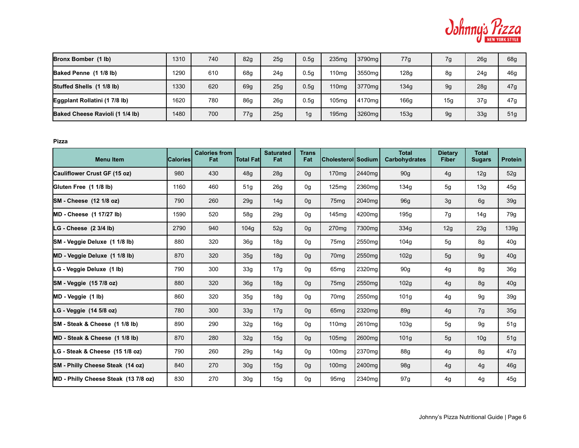

| Bronx Bomber (1 lb)             | 1310 | 740 | 82g | 25g | 0.5q             | 235 <sub>mq</sub> | 3790 <sub>mg</sub> | 77g  | 7g              | 26g | 68g             |
|---------------------------------|------|-----|-----|-----|------------------|-------------------|--------------------|------|-----------------|-----|-----------------|
| Baked Penne (1 1/8 lb)          | 1290 | 610 | 68g | 24g | 0.5 <sub>q</sub> | 110 <sub>mg</sub> | 3550mg             | 128g | 8g              | 24g | 46 <sub>g</sub> |
| Stuffed Shells (1 1/8 lb)       | 1330 | 620 | 69g | 25g | 0.5q             | 110 <sub>mg</sub> | 3770 <sub>ma</sub> | 134g | 9q              | 28g | 47g             |
| Eggplant Rollatini (1 7/8 lb)   | 1620 | 780 | 86g | 26g | 0.5 <sub>q</sub> | 105 <sub>mq</sub> | 4170 <sub>mg</sub> | 166g | 15 <sub>a</sub> | 37g | 47 <sub>q</sub> |
| Baked Cheese Ravioli (1 1/4 lb) | 1480 | 700 | 77g | 25g | 1g               | 195 <sub>mq</sub> | 3260mg             | 153g | 9g              | 33g | 51 <sub>q</sub> |

**Pizza**

| <b>Menu Item</b>                     | <b>Calories</b> | <b>Calories from</b><br>Fat | <b>Total Fatl</b> | <b>Saturated</b><br>Fat | <b>Trans</b><br>Fat | Cholesterol  Sodium |                    | <b>Total</b><br><b>Carbohydrates</b> | <b>Dietary</b><br><b>Fiber</b> | <b>Total</b><br><b>Sugars</b> | <b>Protein</b>  |
|--------------------------------------|-----------------|-----------------------------|-------------------|-------------------------|---------------------|---------------------|--------------------|--------------------------------------|--------------------------------|-------------------------------|-----------------|
| Cauliflower Crust GF (15 oz)         | 980             | 430                         | 48q               | 28g                     | 0 <sub>q</sub>      | 170mg               | 2440mg             | 90 <sub>g</sub>                      | 4g                             | 12g                           | 52g             |
| Gluten Free (1 1/8 lb)               | 1160            | 460                         | 51g               | 26 <sub>g</sub>         | 0 <sub>q</sub>      | 125 <sub>mq</sub>   | 2360mg             | 134g                                 | 5g                             | 13g                           | 45g             |
| SM - Cheese (12 1/8 oz)              | 790             | 260                         | 29 <sub>g</sub>   | 14 <sub>g</sub>         | 0 <sub>g</sub>      | 75 <sub>mg</sub>    | 2040 <sub>mq</sub> | 96g                                  | 3g                             | 6g                            | 39 <sub>g</sub> |
| MD - Cheese (1 17/27 lb)             | 1590            | 520                         | 58g               | 29 <sub>g</sub>         | 0g                  | 145mg               | 4200mg             | 195g                                 | 7g                             | 14g                           | 79g             |
| LG - Cheese $(23/4 lb)$              | 2790            | 940                         | 104q              | 52g                     | 0 <sub>q</sub>      | 270 <sub>mg</sub>   | 7300mg             | 334g                                 | 12g                            | 23g                           | 139g            |
| SM - Veggie Deluxe (1 1/8 lb)        | 880             | 320                         | 36 <sub>g</sub>   | 18 <sub>g</sub>         | 0g                  | 75 <sub>mg</sub>    | 2550mg             | 104g                                 | 5g                             | 8g                            | 40 <sub>g</sub> |
| MD - Veggie Deluxe (1 1/8 lb)        | 870             | 320                         | 35g               | 18 <sub>g</sub>         | 0g                  | 70 <sub>mg</sub>    | 2550 <sub>mq</sub> | 102g                                 | 5g                             | 9g                            | 40 <sub>g</sub> |
| LG - Veggie Deluxe (1 lb)            | 790             | 300                         | 33 <sub>g</sub>   | 17g                     | 0g                  | 65 <sub>mg</sub>    | 2320mg             | 90 <sub>g</sub>                      | 4g                             | 8g                            | 36 <sub>g</sub> |
| SM - Veggie (15 7/8 oz)              | 880             | 320                         | 36 <sub>g</sub>   | 18g                     | 0 <sub>q</sub>      | 75 <sub>mg</sub>    | 2550 <sub>mq</sub> | 102g                                 | 4g                             | 8g                            | 40 <sub>g</sub> |
| MD - Veggie (1 lb)                   | 860             | 320                         | 35 <sub>q</sub>   | 18 <sub>g</sub>         | 0g                  | 70 <sub>mg</sub>    | 2550 <sub>mq</sub> | 101 <sub>g</sub>                     | 4g                             | 9g                            | 39 <sub>g</sub> |
| LG - Veggie (14 5/8 oz)              | 780             | 300                         | 33 <sub>g</sub>   | 17g                     | 0 <sub>g</sub>      | 65 <sub>mg</sub>    | 2320mg             | 89g                                  | 4g                             | 7g                            | 35 <sub>g</sub> |
| SM - Steak & Cheese (1 1/8 lb)       | 890             | 290                         | 32g               | 16g                     | 0g                  | 110 <sub>mg</sub>   | 2610mg             | 103g                                 | 5g                             | 9g                            | 51g             |
| MD - Steak & Cheese (1 1/8 lb)       | 870             | 280                         | 32g               | 15g                     | 0 <sub>g</sub>      | 105mg               | 2600mg             | 101 <sub>g</sub>                     | 5g                             | 10 <sub>g</sub>               | 51g             |
| LG - Steak & Cheese (15 1/8 oz)      | 790             | 260                         | 29 <sub>g</sub>   | 14g                     | 0g                  | 100 <sub>mg</sub>   | 2370mg             | 88g                                  | 4g                             | 8g                            | 47g             |
| SM - Philly Cheese Steak (14 oz)     | 840             | 270                         | 30 <sub>g</sub>   | 15 <sub>g</sub>         | 0 <sub>g</sub>      | 100 <sub>mq</sub>   | 2400mg             | 98g                                  | 4g                             | 4g                            | 46g             |
| MD - Philly Cheese Steak (13 7/8 oz) | 830             | 270                         | 30 <sub>q</sub>   | 15g                     | 0g                  | 95 <sub>mq</sub>    | 2340mg             | 97g                                  | 4g                             | 4g                            | 45g             |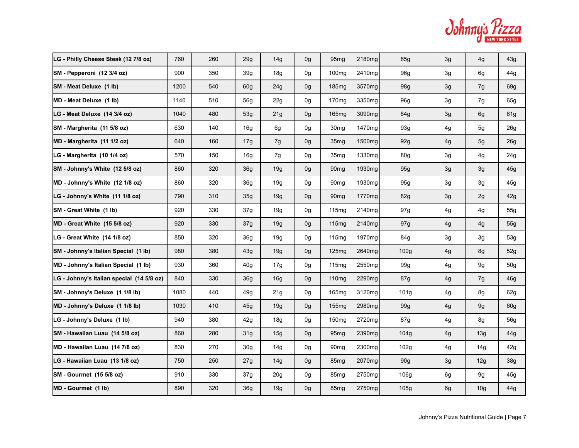| Odhnnus <i>Yizza</i> |
|----------------------|
| NEW YORK STYLE       |

| LG - Philly Cheese Steak (12 7/8 oz)      | 760  | 260 | 29g             | 14g             | 0g             | 95 <sub>mg</sub>  | 2180mg             | 85g              | 3g | 4g              | 43g             |
|-------------------------------------------|------|-----|-----------------|-----------------|----------------|-------------------|--------------------|------------------|----|-----------------|-----------------|
| SM - Pepperoni (12 3/4 oz)                | 900  | 350 | 39g             | 18g             | 0g             | 100 <sub>mg</sub> | 2410mg             | 96g              | 3g | 6g              | 44g             |
| SM - Meat Deluxe (1 lb)                   | 1200 | 540 | 60 <sub>q</sub> | 24g             | 0g             | 185mg             | 3570mg             | 98g              | 3g | 7g              | 69g             |
| MD - Meat Deluxe (1 lb)                   | 1140 | 510 | 56g             | 22g             | 0g             | 170mg             | 3350mg             | 96g              | 3g | 7g              | 65g             |
| LG - Meat Deluxe (14 3/4 oz)              | 1040 | 480 | 53q             | 21g             | 0g             | 165mg             | 3090mg             | 84g              | 3g | 6g              | 61g             |
| SM - Margherita (11 5/8 oz)               | 630  | 140 | 16 <sub>g</sub> | 6g              | 0 <sub>q</sub> | 30 <sub>mq</sub>  | 1470 <sub>mq</sub> | 93g              | 4g | 5g              | 26g             |
| MD - Margherita (11 1/2 oz)               | 640  | 160 | 17g             | 7g              | 0g             | 35 <sub>mg</sub>  | 1500mg             | 92g              | 4g | 5 <sub>g</sub>  | 26g             |
| LG - Margherita (10 1/4 oz)               | 570  | 150 | 16g             | 7g              | 0 <sub>q</sub> | 35 <sub>mq</sub>  | 1330 <sub>mq</sub> | 80g              | 3g | 4g              | 24g             |
| SM - Johnny's White (12 5/8 oz)           | 860  | 320 | 36 <sub>q</sub> | 19g             | 0g             | 90 <sub>mg</sub>  | 1930 <sub>mq</sub> | 95g              | 3g | 3g              | 45g             |
| MD - Johnny's White (12 1/8 oz)           | 860  | 320 | 36 <sub>q</sub> | 19q             | 0 <sub>q</sub> | 90 <sub>mq</sub>  | 1930 <sub>mq</sub> | 95g              | 3g | 3g              | 45g             |
| LG - Johnny's White (11 1/8 oz)           | 790  | 310 | 35g             | 19g             | 0g             | 90 <sub>mg</sub>  | 1770mg             | 82g              | 3g | 2g              | 42g             |
| SM - Great White (1 lb)                   | 920  | 330 | 37g             | 19q             | 0g             | 115mg             | 2140mg             | 97g              | 4g | 4g              | 55g             |
| MD - Great White (15 5/8 oz)              | 920  | 330 | 37 <sub>q</sub> | 19g             | 0g             | 115mg             | 2140mg             | 97g              | 4g | 4g              | 55g             |
| LG - Great White (14 1/8 oz)              | 850  | 320 | 36 <sub>q</sub> | 19q             | 0g             | 115mg             | 1970 <sub>mq</sub> | 84g              | 3g | 3g              | 53g             |
| SM - Johnny's Italian Special (1 lb)      | 980  | 380 | 43g             | 19g             | 0g             | 125mg             | 2640mg             | 100g             | 4g | 8g              | 52g             |
| MD - Johnny's Italian Special (1 lb)      | 930  | 360 | 40 <sub>g</sub> | 17g             | 0g             | 115mg             | 2550mg             | 99g              | 4g | 9g              | 50 <sub>g</sub> |
| LG - Johnny's Italian special (14 5/8 oz) | 840  | 330 | 36 <sub>q</sub> | 16g             | 0g             | 110mg             | 2290mg             | 87g              | 4g | 7g              | 46g             |
| SM - Johnny's Deluxe (1 1/8 lb)           | 1080 | 440 | 49g             | 21 <sub>g</sub> | 0g             | 165mg             | 3120mg             | 101 <sub>g</sub> | 4g | 8g              | 62g             |
| MD - Johnny's Deluxe (1 1/8 lb)           | 1030 | 410 | 45g             | 19g             | 0g             | 155mg             | 2980mg             | 99g              | 4g | 9g              | 60g             |
| LG - Johnny's Deluxe (1 lb)               | 940  | 380 | 42g             | 18g             | 0g             | 150 <sub>mg</sub> | 2720mg             | 87g              | 4g | 8g              | 56g             |
| SM - Hawaiian Luau (14 5/8 oz)            | 860  | 280 | 31 <sub>q</sub> | 15g             | 0g             | 95 <sub>mg</sub>  | 2390mg             | 104g             | 4g | 13g             | 44g             |
| MD - Hawaiian Luau (14 7/8 oz)            | 830  | 270 | 30 <sub>g</sub> | 14g             | 0g             | 90 <sub>mg</sub>  | 2300mg             | 102g             | 4g | 14g             | 42g             |
| LG - Hawaiian Luau (13 1/8 oz)            | 750  | 250 | 27g             | 14g             | 0g             | 85 <sub>mg</sub>  | 2070 <sub>mq</sub> | 90g              | 3g | 12g             | 38g             |
| SM - Gourmet (15 5/8 oz)                  | 910  | 330 | 37g             | 20 <sub>g</sub> | 0g             | 85 <sub>mg</sub>  | 2750mg             | 106 <sub>g</sub> | 6g | 9g              | 45g             |
| MD - Gourmet (1 lb)                       | 890  | 320 | 36g             | 19g             | 0g             | 85 <sub>mg</sub>  | 2750 <sub>mq</sub> | 105g             | 6g | 10 <sub>g</sub> | 44g             |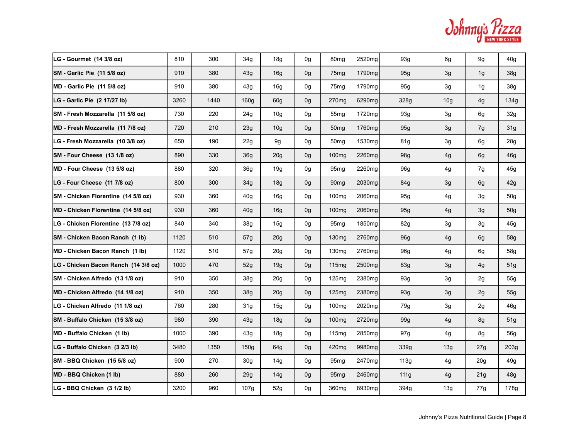| Odhnnus <i>Yizza</i> |
|----------------------|
| NEW YORK STYLE       |

| LG - Gourmet (14 3/8 oz)             | 810  | 300  | 34 <sub>g</sub> | 18g             | 0g             | 80 <sub>mg</sub>  | 2520mg             | 93g  | 6g              | 9g              | 40 <sub>q</sub>  |
|--------------------------------------|------|------|-----------------|-----------------|----------------|-------------------|--------------------|------|-----------------|-----------------|------------------|
| SM - Garlic Pie (11 5/8 oz)          | 910  | 380  | 43g             | 16g             | 0g             | 75 <sub>mg</sub>  | 1790mg             | 95g  | 3g              | 1g              | 38g              |
| MD - Garlic Pie (11 5/8 oz)          | 910  | 380  | 43q             | 16g             | 0g             | 75 <sub>mg</sub>  | 1790mg             | 95g  | 3g              | 1g              | 38g              |
| LG - Garlic Pie (2 17/27 lb)         | 3260 | 1440 | 160q            | 60 <sub>q</sub> | 0g             | 270 <sub>mg</sub> | 6290mg             | 328g | 10 <sub>g</sub> | 4g              | 134g             |
| SM - Fresh Mozzarella (11 5/8 oz)    | 730  | 220  | 24 <sub>g</sub> | 10 <sub>g</sub> | 0g             | 55 <sub>mg</sub>  | 1720mg             | 93g  | 3g              | 6g              | 32g              |
| MD - Fresh Mozzarella (11 7/8 oz)    | 720  | 210  | 23g             | 10 <sub>g</sub> | 0g             | 50 <sub>mg</sub>  | 1760mg             | 95g  | 3g              | 7g              | 31g              |
| LG - Fresh Mozzarella (10 3/8 oz)    | 650  | 190  | 22g             | 9g              | 0g             | 50 <sub>mg</sub>  | 1530mg             | 81g  | 3g              | 6g              | 28g              |
| SM - Four Cheese (13 1/8 oz)         | 890  | 330  | 36 <sub>q</sub> | 20 <sub>g</sub> | 0 <sub>g</sub> | 100 <sub>mq</sub> | 2260mg             | 98g  | 4g              | 6g              | 46 <sub>g</sub>  |
| MD - Four Cheese (13 5/8 oz)         | 880  | 320  | 36 <sub>q</sub> | 19q             | 0g             | 95 <sub>mq</sub>  | 2260mg             | 96g  | 4g              | 7g              | 45g              |
| LG - Four Cheese (11 7/8 oz)         | 800  | 300  | 34g             | 18g             | 0g             | 90 <sub>mq</sub>  | 2030mg             | 84g  | 3g              | 6g              | 42g              |
| SM - Chicken Florentine (14 5/8 oz)  | 930  | 360  | 40 <sub>g</sub> | 16g             | 0g             | 100 <sub>mg</sub> | 2060mg             | 95g  | 4g              | 3g              | 50 <sub>g</sub>  |
| MD - Chicken Florentine (14 5/8 oz)  | 930  | 360  | 40 <sub>g</sub> | 16g             | 0g             | 100 <sub>mg</sub> | 2060 <sub>mg</sub> | 95g  | 4g              | 3g              | 50 <sub>g</sub>  |
| LG - Chicken Florentine (13 7/8 oz)  | 840  | 340  | 38g             | 15g             | 0g             | 95 <sub>mg</sub>  | 1850 <sub>mg</sub> | 82g  | 3g              | 3g              | 45g              |
| SM - Chicken Bacon Ranch (1 lb)      | 1120 | 510  | 57g             | 20g             | 0g             | 130 <sub>mg</sub> | 2760mg             | 96g  | 4g              | 6g              | 58g              |
| MD - Chicken Bacon Ranch (1 lb)      | 1120 | 510  | 57g             | 20 <sub>g</sub> | 0g             | 130 <sub>mg</sub> | 2760mg             | 96g  | 4g              | 6g              | 58g              |
| LG - Chicken Bacon Ranch (14 3/8 oz) | 1000 | 470  | 52g             | 19g             | 0g             | 115mg             | 2500mg             | 83g  | 3g              | 4g              | 51g              |
| SM - Chicken Alfredo (13 1/8 oz)     | 910  | 350  | 38g             | 20 <sub>g</sub> | 0g             | 125 <sub>mq</sub> | 2380mg             | 93g  | 3g              | 2g              | 55g              |
| MD - Chicken Alfredo (14 1/8 oz)     | 910  | 350  | 38 <sub>g</sub> | 20 <sub>g</sub> | 0g             | 125 <sub>mq</sub> | 2380mg             | 93g  | 3g              | 2g              | 55g              |
| LG - Chicken Alfredo (11 1/8 oz)     | 760  | 280  | 31 <sub>g</sub> | 15g             | 0g             | 100 <sub>mg</sub> | 2020mg             | 79g  | 3g              | 2g              | 46g              |
| SM - Buffalo Chicken (15 3/8 oz)     | 980  | 390  | 43g             | 18g             | 0g             | 100 <sub>mq</sub> | 2720mg             | 99g  | 4g              | 8g              | 51 <sub>g</sub>  |
| MD - Buffalo Chicken (1 lb)          | 1000 | 390  | 43q             | 18g             | 0g             | 115 <sub>mg</sub> | 2850mg             | 97g  | 4g              | 8g              | 56g              |
| LG - Buffalo Chicken (3 2/3 lb)      | 3480 | 1350 | 150q            | 64g             | 0 <sub>g</sub> | 420 <sub>mq</sub> | 9980mg             | 339g | 13g             | 27g             | 203 <sub>g</sub> |
| ISM - BBQ Chicken(15 5/8 oz)         | 900  | 270  | 30 <sub>g</sub> | 14g             | 0g             | 95 <sub>mq</sub>  | 2470mg             | 113g | 4g              | 20 <sub>g</sub> | 49g              |
| MD - BBQ Chicken (1 lb)              | 880  | 260  | 29g             | 14g             | 0g             | 95 <sub>mg</sub>  | 2460mg             | 111g | 4g              | 21g             | 48g              |
| LG - BBQ Chicken (3 1/2 lb)          | 3200 | 960  | 107g            | 52g             | 0g             | 360 <sub>mg</sub> | 8930mg             | 394g | 13g             | 77g             | 178g             |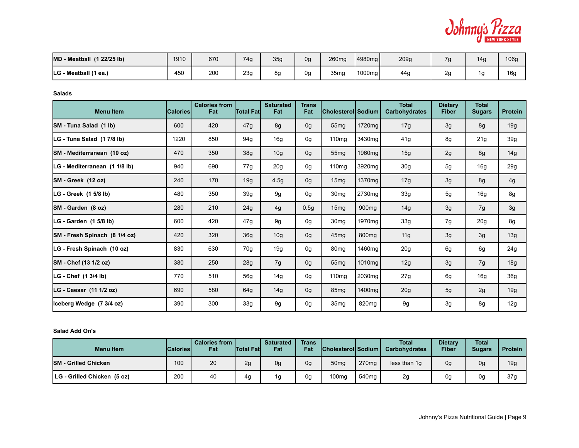

| (1 22/25 lb)<br><b>MD - Meatball</b> | 1910 | 670 | 74g | 35g | 0g | 260mg | 4980mg | 209g |         | 14 <sub>9</sub> | 106g |
|--------------------------------------|------|-----|-----|-----|----|-------|--------|------|---------|-----------------|------|
| LG - Meatball (1 ea.)                | 450  | 200 | 23g | 8α  | 0g | 35mg  | 1000mg | 44g  | ົ<br>∠⊾ | ۱a              | 16c  |

**Salads**

| <b>Menu Item</b>              | <b>Calories</b> | <b>Calories from</b><br>Fat | <b>Total Fat</b> | <b>Saturated</b><br>Fat | <b>Trans</b><br>Fat | Cholesterol Sodium |                   | <b>Total</b><br><b>Carbohydrates</b> | <b>Dietary</b><br><b>Fiber</b> | <b>Total</b><br><b>Sugars</b> | <b>Protein</b>  |
|-------------------------------|-----------------|-----------------------------|------------------|-------------------------|---------------------|--------------------|-------------------|--------------------------------------|--------------------------------|-------------------------------|-----------------|
| SM - Tuna Salad (1 lb)        | 600             | 420                         | 47g              | 8g                      | 0g                  | 55 <sub>mg</sub>   | 1720mg            | 17g                                  | 3g                             | 8g                            | 19g             |
| LG - Tuna Salad (1 7/8 lb)    | 1220            | 850                         | 94g              | 16g                     | 0g                  | 110mg              | 3430mg            | 41g                                  | 8g                             | 21g                           | 39 <sub>g</sub> |
| SM - Mediterranean (10 oz)    | 470             | 350                         | 38g              | 10 <sub>g</sub>         | 0g                  | 55 <sub>mg</sub>   | 1960mg            | 15g                                  | 2g                             | 8g                            | 14g             |
| LG - Mediterranean (1 1/8 lb) | 940             | 690                         | 77g              | 20 <sub>g</sub>         | 0g                  | 110mg              | 3920mg            | 30 <sub>g</sub>                      | 5g                             | 16g                           | 29g             |
| SM-Greek (12 oz)              | 240             | 170                         | 19g              | 4.5g                    | 0g                  | 15mg               | 1370mg            | 17g                                  | 3g                             | 8g                            | 4g              |
| LG - Greek (1 5/8 lb)         | 480             | 350                         | 39g              | 9g                      | 0g                  | 30 <sub>mq</sub>   | 2730mg            | 33g                                  | 5g                             | 16g                           | 8g              |
| SM-Garden (8 oz)              | 280             | 210                         | 24g              | 4g                      | 0.5g                | 15 <sub>mg</sub>   | 900 <sub>mg</sub> | 14g                                  | 3g                             | 7g                            | 3g              |
| LG - Garden (1 5/8 lb)        | 600             | 420                         | 47g              | 9g                      | 0g                  | 30 <sub>mg</sub>   | 1970mg            | 33g                                  | 7g                             | 20g                           | 8g              |
| SM - Fresh Spinach (8 1/4 oz) | 420             | 320                         | 36g              | 10 <sub>g</sub>         | 0g                  | 45 <sub>mq</sub>   | 800 <sub>mg</sub> | 11g                                  | 3g                             | 3g                            | 13g             |
| LG - Fresh Spinach (10 oz)    | 830             | 630                         | 70 <sub>g</sub>  | 19g                     | 0g                  | 80 <sub>mg</sub>   | 1460mg            | 20g                                  | 6g                             | 6g                            | 24g             |
| SM - Chef (13 1/2 oz)         | 380             | 250                         | 28g              | 7g                      | 0g                  | 55 <sub>mg</sub>   | 1010mg            | 12g                                  | 3g                             | 7g                            | 18g             |
| LG - Chef (1 3/4 lb)          | 770             | 510                         | 56g              | 14g                     | 0g                  | 110mg              | 2030mg            | 27g                                  | 6g                             | 16g                           | 36g             |
| LG - Caesar (11 1/2 oz)       | 690             | 580                         | 64g              | 14g                     | 0g                  | 85 <sub>mg</sub>   | 1400mg            | 20g                                  | 5g                             | 2g                            | 19g             |
| Iceberg Wedge (7 3/4 oz)      | 390             | 300                         | 33g              | 9g                      | 0g                  | 35mg               | 820mg             | 9g                                   | 3g                             | 8g                            | 12g             |

**Salad Add On's**

| <b>Menu Item</b>            | <b>Calories</b> | <b>Calories from I</b><br>Fat | <b>Total Fatl</b> | <b>Saturated</b><br>Fat | Trans<br>Fat | <b>Cholesteroll Sodium</b> |                   | <b>Total</b><br><b>Carbohydrates</b> | <b>Dietary</b><br>Fiber | Total<br><b>Sugars</b> | Protein |
|-----------------------------|-----------------|-------------------------------|-------------------|-------------------------|--------------|----------------------------|-------------------|--------------------------------------|-------------------------|------------------------|---------|
| <b>SM - Grilled Chicken</b> | 100             | 20                            | 2a                | 0g                      | 0g           | 50 <sub>mg</sub>           | 270 <sub>mg</sub> | less than 1q                         | 0g                      | 0g                     | 19g     |
| LG - Grilled Chicken (5 oz) | 200             | 40                            | 4α                | 1g                      | 0g           | 100mg                      | 540 <sub>ma</sub> | 2g                                   | 0g                      | 0g                     | 37g     |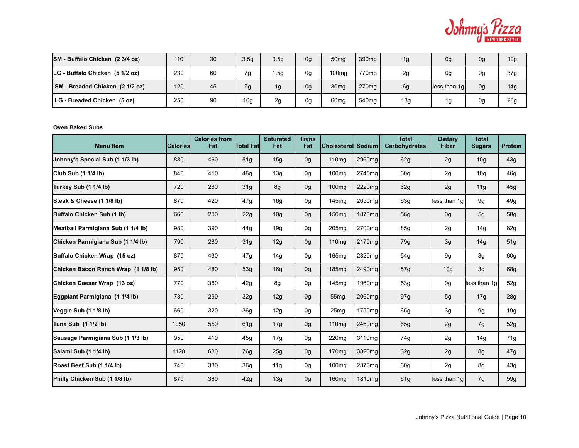

| SM - Buffalo Chicken (2 3/4 oz) | 110 | 30 | 3.5 <sub>q</sub> | 0.5g | 0 <sub>g</sub> | 50 <sub>mg</sub>  | 390 <sub>mg</sub> | 1g  | 0 <sub>q</sub> | 0g | 19g             |
|---------------------------------|-----|----|------------------|------|----------------|-------------------|-------------------|-----|----------------|----|-----------------|
| LG - Buffalo Chicken (5 1/2 oz) | 230 | 60 | 7g               | .5g  | 0g             | 100 <sub>mg</sub> | 770 <sub>mg</sub> | 2g  | 0 <sub>q</sub> | 0g | 37g             |
| SM - Breaded Chicken (2 1/2 oz) | 120 | 45 | 5g               | 1g   | 0g             | 30 <sub>mg</sub>  | 270 <sub>mg</sub> | 6g  | lless than 1gl | 0g | 14 <sub>g</sub> |
| LG - Breaded Chicken (5 oz)     | 250 | 90 | 10 <sub>g</sub>  | 2g   | 0g             | 60 <sub>mg</sub>  | 540ma             | 13g | 1α             | 0g | 28g             |

#### **Oven Baked Subs**

| <b>Menu Item</b>                    | <b>CaloriesI</b> | <b>Calories from</b><br>Fat | Total Fat       | <b>Saturated</b><br>Fat | <b>Trans</b><br>Fat | Cholesterol Sodium |                    | <b>Total</b><br><b>Carbohydrates</b> | <b>Dietary</b><br><b>Fiber</b> | <b>Total</b><br><b>Sugars</b> | <b>Protein</b> |
|-------------------------------------|------------------|-----------------------------|-----------------|-------------------------|---------------------|--------------------|--------------------|--------------------------------------|--------------------------------|-------------------------------|----------------|
| Johnny's Special Sub (1 1/3 lb)     | 880              | 460                         | 51g             | 15g                     | 0 <sub>g</sub>      | 110mg              | 2960mg             | 62g                                  | 2g                             | 10 <sub>g</sub>               | 43g            |
| Club Sub (1 1/4 lb)                 | 840              | 410                         | 46 <sub>g</sub> | 13g                     | 0 <sub>q</sub>      | 100 <sub>mg</sub>  | 2740mg             | 60g                                  | 2g                             | 10 <sub>g</sub>               | 46g            |
| Turkey Sub (1 1/4 lb)               | 720              | 280                         | 31 <sub>g</sub> | 8g                      | 0 <sub>q</sub>      | 100 <sub>mg</sub>  | 2220mg             | 62g                                  | 2g                             | 11g                           | 45g            |
| Steak & Cheese (1 1/8 lb)           | 870              | 420                         | 47g             | 16 <sub>g</sub>         | 0g                  | 145mg              | 2650mg             | 63g                                  | less than 1g                   | 9g                            | 49q            |
| Buffalo Chicken Sub (1 lb)          | 660              | 200                         | 22g             | 10 <sub>g</sub>         | 0g                  | 150 <sub>mg</sub>  | 1870mg             | <b>56g</b>                           | 0 <sub>g</sub>                 | 5g                            | 58g            |
| Meatball Parmigiana Sub (1 1/4 lb)  | 980              | 390                         | 44g             | 19g                     | 0g                  | 205mg              | 2700mg             | 85g                                  | 2g                             | 14g                           | 62g            |
| Chicken Parmigiana Sub (1 1/4 lb)   | 790              | 280                         | 31 <sub>g</sub> | 12g                     | 0 <sub>g</sub>      | 110 <sub>mq</sub>  | 2170mg             | 79g                                  | 3g                             | 14g                           | 51g            |
| Buffalo Chicken Wrap (15 oz)        | 870              | 430                         | 47g             | 14g                     | 0g                  | 165mg              | 2320mg             | 54g                                  | 9g                             | 3g                            | 60g            |
| Chicken Bacon Ranch Wrap (1 1/8 lb) | 950              | 480                         | 53g             | 16g                     | 0g                  | 185 <sub>mq</sub>  | 2490mg             | 57g                                  | 10 <sub>g</sub>                | 3g                            | 68g            |
| Chicken Caesar Wrap (13 oz)         | 770              | 380                         | 42g             | 8g                      | 0g                  | 145 <sub>mq</sub>  | 1960 <sub>mq</sub> | 53g                                  | 9g                             | less than 1g                  | 52g            |
| Eggplant Parmigiana (1 1/4 lb)      | 780              | 290                         | 32g             | 12g                     | 0 <sub>g</sub>      | 55 <sub>mq</sub>   | 2060mg             | 97g                                  | 5g                             | 17g                           | 28g            |
| Veggie Sub (1 1/8 lb)               | 660              | 320                         | 36 <sub>g</sub> | 12g                     | 0g                  | 25 <sub>mq</sub>   | 1750mg             | 65g                                  | 3g                             | 9g                            | 19q            |
| Tuna Sub (1 1/2 lb)                 | 1050             | 550                         | 61 <sub>g</sub> | 17g                     | 0 <sub>g</sub>      | 110 <sub>mg</sub>  | 2460mg             | 65g                                  | 2g                             | 7g                            | 52g            |
| Sausage Parmigiana Sub (1 1/3 lb)   | 950              | 410                         | 45g             | 17g                     | 0g                  | 220 <sub>mq</sub>  | 3110mg             | 74g                                  | 2g                             | 14 <sub>g</sub>               | 71g            |
| Salami Sub (1 1/4 lb)               | 1120             | 680                         | 76g             | 25g                     | 0 <sub>g</sub>      | 170 <sub>mg</sub>  | 3820mg             | 62g                                  | 2g                             | 8g                            | 47g            |
| Roast Beef Sub (1 1/4 lb)           | 740              | 330                         | 36 <sub>q</sub> | 11g                     | 0g                  | 100 <sub>mg</sub>  | 2370mg             | 60g                                  | 2g                             | 8g                            | 43g            |
| Philly Chicken Sub (1 1/8 lb)       | 870              | 380                         | 42g             | 13g                     | 0 <sub>q</sub>      | 160 <sub>mg</sub>  | 1810mg             | 61g                                  | less than 1g                   | 7g                            | 59q            |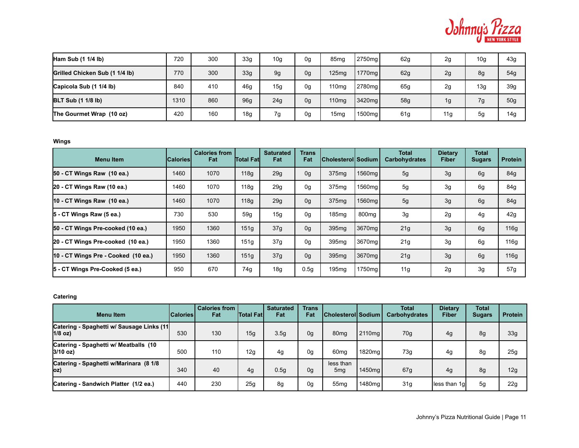

| Ham Sub $(1 1/4 lb)$           | 720  | 300 | 33 <sub>q</sub> | 10 <sub>g</sub> | 0g | 85 <sub>mg</sub>  | 2750 <sub>ma</sub> | 62g | 2g  | 10 <sub>g</sub> | 43g |
|--------------------------------|------|-----|-----------------|-----------------|----|-------------------|--------------------|-----|-----|-----------------|-----|
| Grilled Chicken Sub (1 1/4 lb) | 770  | 300 | 33 <sub>q</sub> | 9g              | 0g | 125mg             | 1770mg <b> </b>    | 62g | 2g  | 8g              | 54g |
| Capicola Sub (1 1/4 lb)        | 840  | 410 | 46 <sub>q</sub> | 15g             | 0g | 110 <sub>mg</sub> | 2780mg             | 65g | 2g  | 13g             | 39g |
| <b>BLT Sub (1 1/8 lb)</b>      | 1310 | 860 | 96 <sub>g</sub> | 24g             | 0g | 110 <sub>mg</sub> | 3420 <sub>mg</sub> | 58g | 1g  | 7g              | 50g |
| The Gourmet Wrap (10 oz)       | 420  | 160 | 18 <sub>g</sub> | 7g              | 0g | 15 <sub>mg</sub>  | 1500mg             | 61g | 11g | 5 <sub>g</sub>  | 14g |

**Wings**

| <b>Menu</b> Item                    | <b>Calories</b> | <b>Calories from</b><br>Fat | <b>Total Fatl</b> | <b>Saturated</b><br>Fat | Trans<br>Fat     | <b>ICholesteroll Sodium</b> |                    | <b>Total</b><br><b>Carbohydrates</b> | <b>Dietary</b><br><b>Fiber</b> | <b>Total</b><br><b>Sugars</b> | <b>Protein</b> |
|-------------------------------------|-----------------|-----------------------------|-------------------|-------------------------|------------------|-----------------------------|--------------------|--------------------------------------|--------------------------------|-------------------------------|----------------|
| 50 - CT Wings Raw (10 ea.)          | 1460            | 1070                        | 118g              | 29g                     | 0g               | 375mg                       | 1560mg             | 5g                                   | 3g                             | 6g                            | 84g            |
| 20 - CT Wings Raw (10 ea.)          | 1460            | 1070                        | 118g              | 29g                     | 0g               | 375mg                       | 1560mg             | 5g                                   | 3g                             | 6g                            | 84g            |
| $10 - CT$ Wings Raw $(10$ ea.)      | 1460            | 1070                        | 118g              | 29g                     | 0g               | 375 <sub>mg</sub>           | 1560mg             | 5g                                   | 3g                             | 6g                            | 84g            |
| 5 - CT Wings Raw (5 ea.)            | 730             | 530                         | 59q               | 15g                     | 0g               | 185mg                       | 800 <sub>mq</sub>  | 3g                                   | 2g                             | 4g                            | 42g            |
| 50 - CT Wings Pre-cooked (10 ea.)   | 1950            | 1360                        | 151g              | 37g                     | 0 <sub>g</sub>   | 395 <sub>mg</sub>           | 3670mg             | 21g                                  | 3g                             | 6g                            | 116g           |
| 20 - CT Wings Pre-cooked (10 ea.)   | 1950            | 1360                        | 151g              | 37g                     | 0g               | 395mg                       | 3670 <sub>mq</sub> | 21g                                  | 3g                             | 6g                            | 116g           |
| 10 - CT Wings Pre - Cooked (10 ea.) | 1950            | 1360                        | 151g              | 37g                     | 0 <sub>g</sub>   | 395 <sub>mg</sub>           | 3670mg             | 21g                                  | 3g                             | 6g                            | 116g           |
| 5 - CT Wings Pre-Cooked (5 ea.)     | 950             | 670                         | 74g               | 18g                     | 0.5 <sub>q</sub> | 195 <sub>mq</sub>           | 1750mg             | 11g                                  | 2g                             | 3g                            | 57g            |

# **Catering**

| <b>Menultem</b>                                        | <b>Calories</b> | <b>Calories from I</b><br>Fat | lTotal Fatl | <b>Saturated</b><br>Fat | <b>Trans</b><br>Fat | <b>Cholesterol Sodium</b>    |                    | <b>Total</b><br><b>Carbohydrates</b> | Dietary<br>Fiber | <b>Total</b><br><b>Sugars</b> | <b>Protein</b> |
|--------------------------------------------------------|-----------------|-------------------------------|-------------|-------------------------|---------------------|------------------------------|--------------------|--------------------------------------|------------------|-------------------------------|----------------|
| Catering - Spaghetti w/ Sausage Links (11<br>$1/8$ oz) | 530             | 130                           | 15g         | 3.5 <sub>q</sub>        | 0 <sub>g</sub>      | 80 <sub>mq</sub>             | 2110 <sub>ma</sub> | 70 <sub>q</sub>                      | 4g               | 8g                            | 33g            |
| Catering - Spaghetti w/ Meatballs (10<br>$3/10$ oz)    | 500             | 110                           | 12g         | 4g                      | 0g                  | 60 <sub>mg</sub>             | 1820 <sub>ma</sub> | 73g                                  | 4g               | 8g                            | 25g            |
| Catering - Spaghetti w/Marinara (8 1/8<br>OZ)          | 340             | 40                            | 4g          | 0.5g                    | 0g                  | less than<br>5 <sub>mq</sub> | 1450ma l           | 67g                                  | 4g               | 8g                            | 12g            |
| Catering - Sandwich Platter (1/2 ea.)                  | 440             | 230                           | 25g         | 8g                      | 0g                  | 55 <sub>mq</sub>             | 1480 <sub>mg</sub> | 31g                                  | less than 1g     | 5g                            | 22g            |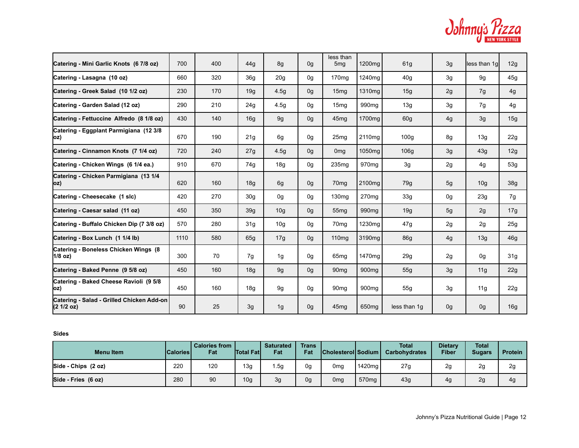| Odhnnus <i>Fizza</i> |  |                |
|----------------------|--|----------------|
|                      |  | NEW YORK STYLE |

| Catering - Mini Garlic Knots (6 7/8 oz)                 | 700  | 400 | 44q             | 8g              | 0 <sub>q</sub> | less than<br>5 <sub>mg</sub> | 1200mg             | 61g              | 3g | less than 1g    | 12g             |
|---------------------------------------------------------|------|-----|-----------------|-----------------|----------------|------------------------------|--------------------|------------------|----|-----------------|-----------------|
| Catering - Lasagna (10 oz)                              | 660  | 320 | 36 <sub>q</sub> | 20 <sub>g</sub> | 0 <sub>q</sub> | 170 <sub>mg</sub>            | 1240mg             | 40g              | 3g | 9g              | 45g             |
| Catering - Greek Salad (10 1/2 oz)                      | 230  | 170 | 19q             | 4.5g            | 0 <sub>q</sub> | 15 <sub>mq</sub>             | 1310mg             | 15g              | 2g | 7g              | 4g              |
| Catering - Garden Salad (12 oz)                         | 290  | 210 | 24g             | 4.5g            | 0 <sub>q</sub> | 15 <sub>mq</sub>             | 990 <sub>mq</sub>  | 13g              | 3g | 7g              | 4g              |
| Catering - Fettuccine Alfredo (8 1/8 oz)                | 430  | 140 | 16g             | 9g              | 0g             | 45 <sub>mq</sub>             | 1700mg             | 60g              | 4g | 3g              | 15g             |
| Catering - Eggplant Parmigiana (12 3/8<br> OZ)          | 670  | 190 | 21g             | 6g              | 0g             | 25 <sub>mg</sub>             | 2110 <sub>mq</sub> | 100 <sub>g</sub> | 8g | 13g             | 22g             |
| Catering - Cinnamon Knots (7 1/4 oz)                    | 720  | 240 | 27g             | 4.5g            | 0g             | 0 <sub>mg</sub>              | 1050mg             | 106g             | 3g | 43g             | 12g             |
| Catering - Chicken Wings (6 1/4 ea.)                    | 910  | 670 | 74g             | 18g             | 0g             | 235 <sub>mq</sub>            | 970 <sub>mq</sub>  | 3g               | 2g | 4g              | 53g             |
| Catering - Chicken Parmigiana (13 1/4<br>oz)            | 620  | 160 | 18q             | 6g              | 0g             | 70 <sub>mq</sub>             | 2100mg             | 79g              | 5g | 10 <sub>g</sub> | 38g             |
| Catering - Cheesecake (1 slc)                           | 420  | 270 | 30 <sub>g</sub> | 0g              | 0g             | 130 <sub>mg</sub>            | 270mg              | 33g              | 0g | 23g             | 7g              |
| Catering - Caesar salad (11 oz)                         | 450  | 350 | 39 <sub>g</sub> | 10 <sub>g</sub> | 0g             | 55 <sub>mq</sub>             | 990 <sub>mq</sub>  | 19g              | 5g | 2g              | 17g             |
| Catering - Buffalo Chicken Dip (7 3/8 oz)               | 570  | 280 | 31g             | 10 <sub>g</sub> | 0g             | 70 <sub>mq</sub>             | 1230mg             | 47g              | 2g | 2g              | 25g             |
| Catering - Box Lunch (1 1/4 lb)                         | 1110 | 580 | 65g             | 17g             | 0g             | 110 <sub>mq</sub>            | 3190mg             | <b>86g</b>       | 4g | 13g             | 46g             |
| Catering - Boneless Chicken Wings (8)<br>$1/8$ oz)      | 300  | 70  | 7g              | 1g              | 0g             | 65 <sub>mq</sub>             | 1470 <sub>mq</sub> | 29g              | 2g | 0g              | 31 <sub>g</sub> |
| Catering - Baked Penne (9 5/8 oz)                       | 450  | 160 | 18g             | 9g              | 0g             | 90 <sub>mg</sub>             | 900 <sub>mg</sub>  | 55g              | 3g | 11g             | 22g             |
| Catering - Baked Cheese Ravioli (9 5/8<br> oz)          | 450  | 160 | 18 <sub>g</sub> | 9g              | 0g             | 90 <sub>mq</sub>             | 900mg              | 55g              | 3g | 11g             | 22g             |
| Catering - Salad - Grilled Chicken Add-on<br>(2 1/2 oz) | 90   | 25  | 3g              | 1g              | 0g             | 45 <sub>mg</sub>             | 650mg              | less than 1q     | 0g | 0g              | 16g             |

**Sides**

| <b>Menu Item</b>    | <b>Calories</b> | <b>Calories from</b><br>Fat | <b>Total Fatl</b> | <b>Saturated</b><br>Fat | <b>Trans</b><br>Fat | <b>Cholesterol Sodium</b> |                   | <b>Total</b><br>Carbohydrates | <b>Dietary</b><br><b>Fiber</b> | <b>Total</b><br><b>Sugars</b> | <b>Protein</b> |
|---------------------|-----------------|-----------------------------|-------------------|-------------------------|---------------------|---------------------------|-------------------|-------------------------------|--------------------------------|-------------------------------|----------------|
| Side - Chips (2 oz) | 220             | 120                         | 13g               | l .5g                   | 0g                  | 0 <sub>mg</sub>           | 1420mg            | 27g                           | 2g                             | 2g                            | 2g             |
| Side - Fries (6 oz) | 280             | 90                          | 10 <sub>g</sub>   | 3g                      | 0g                  | 0 <sub>mg</sub>           | 570 <sub>mq</sub> | 43g                           | 4g                             | 2g                            | 4g             |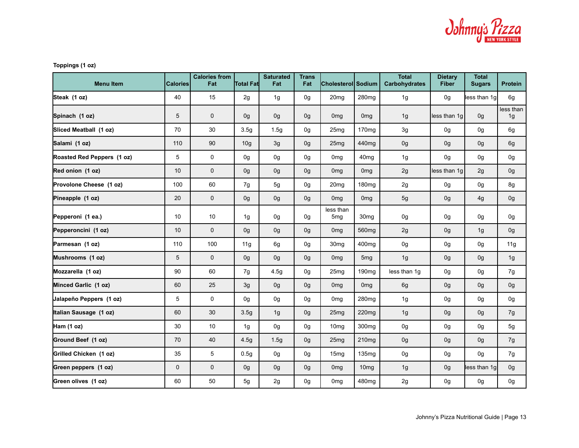

# **Toppings (1 oz)**

| <b>Menu Item</b>           | <b>Calories</b> | <b>Calories from</b><br>Fat | <b>Total Fat</b> | <b>Saturated</b><br>Fat | <b>Trans</b><br>Fat | <b>Cholesterol Sodium</b>    |                   | <b>Total</b><br>Carbohydrates | <b>Dietary</b><br><b>Fiber</b> | <b>Total</b><br><b>Sugars</b> | Protein         |
|----------------------------|-----------------|-----------------------------|------------------|-------------------------|---------------------|------------------------------|-------------------|-------------------------------|--------------------------------|-------------------------------|-----------------|
| Steak (1 oz)               | 40              | 15                          | 2g               | 1g                      | 0g                  | 20 <sub>mg</sub>             | 280mg             | 1g                            | 0g                             | less than 1g                  | 6g              |
| Spinach (1 oz)             | 5               | 0                           | 0g               | 0g                      | 0g                  | 0 <sub>mg</sub>              | 0 <sub>mg</sub>   | 1g                            | less than 1g                   | 0g                            | less than<br>1g |
| Sliced Meatball (1 oz)     | 70              | 30                          | 3.5 <sub>q</sub> | 1.5g                    | 0g                  | 25 <sub>mg</sub>             | 170 <sub>mq</sub> | 3g                            | 0 <sub>q</sub>                 | 0g                            | 6g              |
| Salami (1 oz)              | 110             | $90\,$                      | 10 <sub>g</sub>  | 3g                      | 0g                  | 25 <sub>mg</sub>             | 440 <sub>mq</sub> | 0g                            | 0g                             | 0g                            | 6g              |
| Roasted Red Peppers (1 oz) | 5               | $\mathsf{O}$                | 0 <sub>q</sub>   | 0g                      | 0g                  | 0 <sub>mq</sub>              | 40 <sub>mq</sub>  | 1g                            | 0 <sub>q</sub>                 | 0g                            | 0g              |
| Red onion (1 oz)           | 10              | 0                           | 0g               | 0g                      | 0g                  | 0 <sub>mq</sub>              | 0 <sub>mg</sub>   | 2g                            | less than 1g                   | 2g                            | 0g              |
| Provolone Cheese (1 oz)    | 100             | 60                          | 7g               | 5g                      | 0g                  | 20 <sub>mg</sub>             | 180 <sub>mg</sub> | 2g                            | 0 <sub>q</sub>                 | 0g                            | 8g              |
| Pineapple (1 oz)           | 20              | 0                           | 0g               | 0g                      | 0g                  | 0 <sub>mg</sub>              | 0 <sub>mg</sub>   | 5g                            | 0g                             | 4g                            | 0g              |
| Pepperoni (1 ea.)          | 10              | 10                          | 1g               | 0g                      | 0g                  | less than<br>5 <sub>mg</sub> | 30 <sub>mg</sub>  | 0g                            | 0g                             | 0g                            | 0g              |
| Pepperoncini (1 oz)        | 10              | 0                           | 0g               | 0g                      | 0g                  | 0 <sub>mg</sub>              | 560mg             | 2g                            | 0g                             | 1g                            | 0g              |
| Parmesan (1 oz)            | 110             | 100                         | 11g              | 6g                      | 0g                  | 30 <sub>mg</sub>             | 400mg             | 0g                            | 0g                             | 0g                            | 11g             |
| Mushrooms (1 oz)           | 5               | $\mathbf{0}$                | 0g               | 0g                      | 0g                  | 0 <sub>mq</sub>              | 5 <sub>mg</sub>   | 1g                            | 0g                             | 0g                            | 1g              |
| Mozzarella (1 oz)          | 90              | 60                          | 7g               | 4.5g                    | 0g                  | 25 <sub>mq</sub>             | 190 <sub>mq</sub> | less than 1g                  | 0 <sub>q</sub>                 | 0g                            | 7g              |
| Minced Garlic (1 oz)       | 60              | 25                          | 3g               | 0g                      | 0g                  | 0 <sub>mg</sub>              | 0 <sub>mg</sub>   | 6g                            | 0g                             | 0g                            | 0g              |
| Jalapeño Peppers (1 oz)    | 5               | 0                           | 0g               | 0g                      | 0g                  | 0 <sub>mg</sub>              | 280mg             | 1g                            | 0g                             | 0g                            | 0g              |
| Italian Sausage (1 oz)     | 60              | 30                          | 3.5 <sub>g</sub> | 1g                      | 0g                  | 25 <sub>mg</sub>             | 220mg             | 1g                            | 0g                             | 0g                            | 7g              |
| Ham (1 oz)                 | 30              | 10                          | 1g               | 0g                      | 0g                  | 10 <sub>mg</sub>             | 300 <sub>mg</sub> | 0g                            | 0g                             | 0g                            | 5g              |
| Ground Beef (1 oz)         | 70              | 40                          | 4.5 <sub>g</sub> | 1.5g                    | 0g                  | 25 <sub>mg</sub>             | 210 <sub>mg</sub> | 0g                            | 0g                             | 0g                            | 7g              |
| Grilled Chicken (1 oz)     | 35              | 5                           | 0.5q             | 0g                      | 0g                  | 15 <sub>mg</sub>             | 135 <sub>mq</sub> | 0g                            | 0g                             | 0g                            | 7g              |
| Green peppers (1 oz)       | $\mathbf{0}$    | $\mathbf 0$                 | 0g               | 0g                      | 0g                  | 0 <sub>mg</sub>              | 10 <sub>mg</sub>  | 1g                            | 0g                             | less than 1g                  | 0g              |
| Green olives (1 oz)        | 60              | 50                          | 5g               | 2g                      | 0g                  | 0 <sub>mg</sub>              | 480mg             | 2g                            | 0g                             | 0g                            | 0g              |